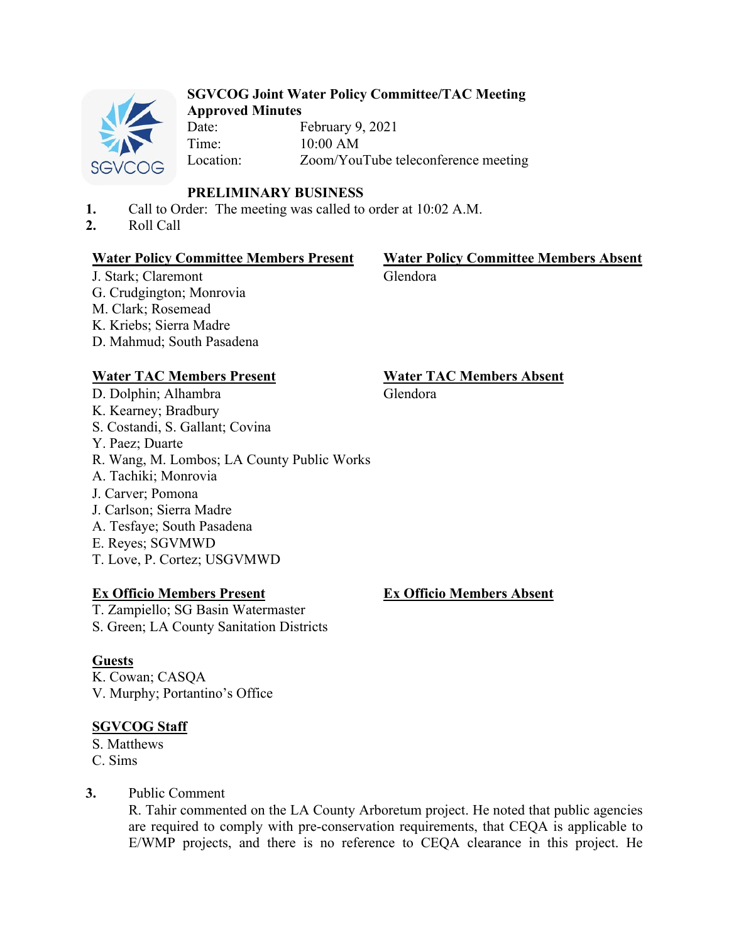

#### **SGVCOG Joint Water Policy Committee/TAC Meeting Approved Minutes**

Date: February 9, 2021 Time: 10:00 AM Location: Zoom/YouTube teleconference meeting

## **PRELIMINARY BUSINESS**

- **1.** Call to Order: The meeting was called to order at 10:02 A.M.
- **2.** Roll Call

#### **Water Policy Committee Members Present Water Policy Committee Members Absent**

J. Stark; Claremont G. Crudgington; Monrovia M. Clark; Rosemead K. Kriebs; Sierra Madre D. Mahmud; South Pasadena

## **Water TAC Members Present Water TAC Members Absent**

D. Dolphin; Alhambra K. Kearney; Bradbury S. Costandi, S. Gallant; Covina Y. Paez; Duarte R. Wang, M. Lombos; LA County Public Works A. Tachiki; Monrovia J. Carver; Pomona J. Carlson; Sierra Madre A. Tesfaye; South Pasadena E. Reyes; SGVMWD T. Love, P. Cortez; USGVMWD

#### **Ex Officio Members Present**

T. Zampiello; SG Basin Watermaster S. Green; LA County Sanitation Districts

## **Guests**

K. Cowan; CASQA V. Murphy; Portantino's Office

## **SGVCOG Staff**

S. Matthews C. Sims

#### **3.** Public Comment

R. Tahir commented on the LA County Arboretum project. He noted that public agencies are required to comply with pre-conservation requirements, that CEQA is applicable to E/WMP projects, and there is no reference to CEQA clearance in this project. He

# Glendora

## Glendora

**Ex Officio Members Absent**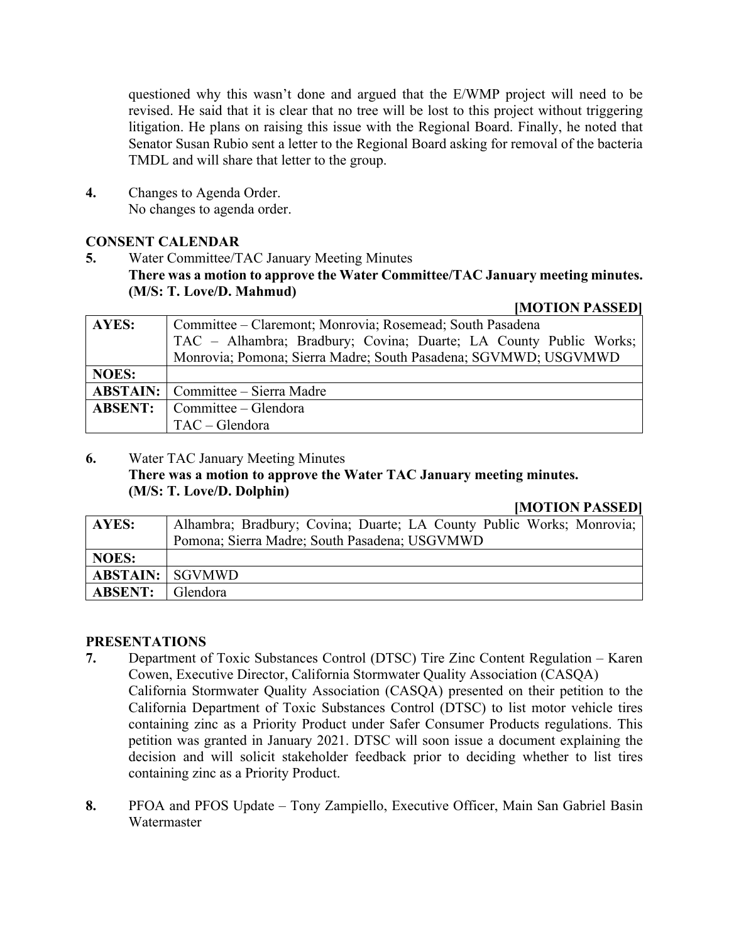questioned why this wasn't done and argued that the E/WMP project will need to be revised. He said that it is clear that no tree will be lost to this project without triggering litigation. He plans on raising this issue with the Regional Board. Finally, he noted that Senator Susan Rubio sent a letter to the Regional Board asking for removal of the bacteria TMDL and will share that letter to the group.

**4.** Changes to Agenda Order. No changes to agenda order.

#### **CONSENT CALENDAR**

**5.** Water Committee/TAC January Meeting Minutes **There was a motion to approve the Water Committee/TAC January meeting minutes. (M/S: T. Love/D. Mahmud)** 

#### **[MOTION PASSED]**

| <b>AYES:</b> | Committee – Claremont; Monrovia; Rosemead; South Pasadena         |
|--------------|-------------------------------------------------------------------|
|              | TAC - Alhambra; Bradbury; Covina; Duarte; LA County Public Works; |
|              | Monrovia; Pomona; Sierra Madre; South Pasadena; SGVMWD; USGVMWD   |
| <b>NOES:</b> |                                                                   |
|              | <b>ABSTAIN:</b> Committee – Sierra Madre                          |
|              | <b>ABSENT:</b> $\Box$ Committee $\Box$ Glendora                   |
|              | TAC - Glendora                                                    |

## **6.** Water TAC January Meeting Minutes **There was a motion to approve the Water TAC January meeting minutes. (M/S: T. Love/D. Dolphin)**

#### **[MOTION PASSED]**

| AYES:                  | Alhambra; Bradbury; Covina; Duarte; LA County Public Works; Monrovia; |
|------------------------|-----------------------------------------------------------------------|
|                        | Pomona; Sierra Madre; South Pasadena; USGVMWD                         |
| <b>NOES:</b>           |                                                                       |
| <b>ABSTAIN:</b> SGVMWD |                                                                       |
| <b>ABSENT:</b>         | Glendora                                                              |

#### **PRESENTATIONS**

- **7.** Department of Toxic Substances Control (DTSC) Tire Zinc Content Regulation Karen Cowen, Executive Director, California Stormwater Quality Association (CASQA) California Stormwater Quality Association (CASQA) presented on their petition to the California Department of Toxic Substances Control (DTSC) to list motor vehicle tires containing zinc as a Priority Product under Safer Consumer Products regulations. This petition was granted in January 2021. DTSC will soon issue a document explaining the decision and will solicit stakeholder feedback prior to deciding whether to list tires containing zinc as a Priority Product.
- **8.** PFOA and PFOS Update Tony Zampiello, Executive Officer, Main San Gabriel Basin **Watermaster**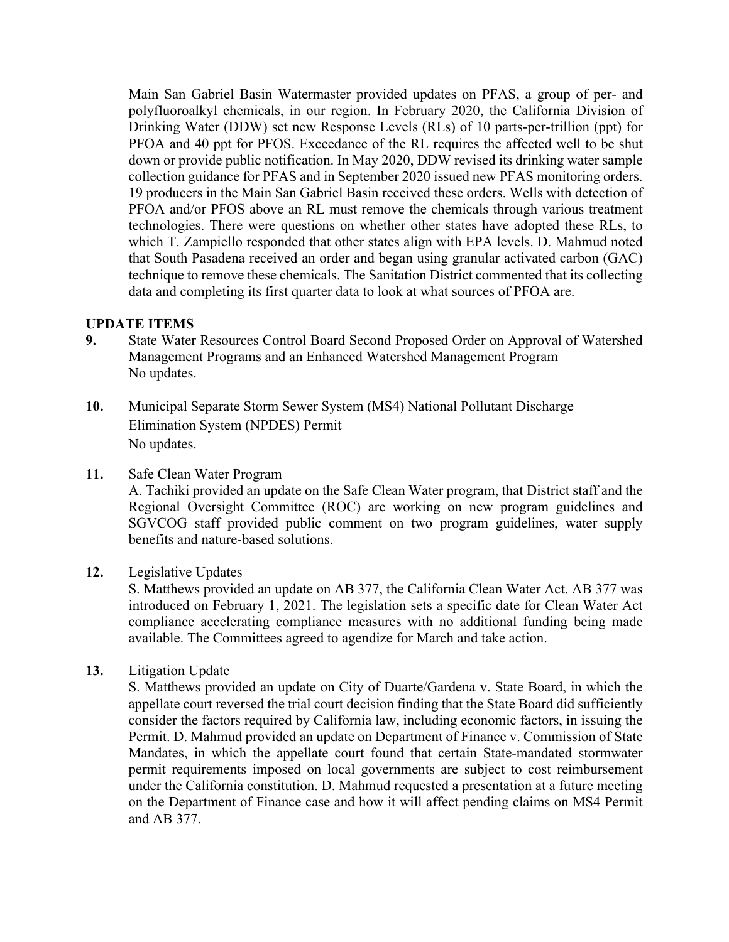Main San Gabriel Basin Watermaster provided updates on PFAS, a group of per- and polyfluoroalkyl chemicals, in our region. In February 2020, the California Division of Drinking Water (DDW) set new Response Levels (RLs) of 10 parts-per-trillion (ppt) for PFOA and 40 ppt for PFOS. Exceedance of the RL requires the affected well to be shut down or provide public notification. In May 2020, DDW revised its drinking water sample collection guidance for PFAS and in September 2020 issued new PFAS monitoring orders. 19 producers in the Main San Gabriel Basin received these orders. Wells with detection of PFOA and/or PFOS above an RL must remove the chemicals through various treatment technologies. There were questions on whether other states have adopted these RLs, to which T. Zampiello responded that other states align with EPA levels. D. Mahmud noted that South Pasadena received an order and began using granular activated carbon (GAC) technique to remove these chemicals. The Sanitation District commented that its collecting data and completing its first quarter data to look at what sources of PFOA are.

#### **UPDATE ITEMS**

- **9.** State Water Resources Control Board Second Proposed Order on Approval of Watershed Management Programs and an Enhanced Watershed Management Program No updates.
- **10.** Municipal Separate Storm Sewer System (MS4) National Pollutant Discharge Elimination System (NPDES) Permit No updates.
- **11.** Safe Clean Water Program

A. Tachiki provided an update on the Safe Clean Water program, that District staff and the Regional Oversight Committee (ROC) are working on new program guidelines and SGVCOG staff provided public comment on two program guidelines, water supply benefits and nature-based solutions.

**12.** Legislative Updates

S. Matthews provided an update on AB 377, the California Clean Water Act. AB 377 was introduced on February 1, 2021. The legislation sets a specific date for Clean Water Act compliance accelerating compliance measures with no additional funding being made available. The Committees agreed to agendize for March and take action.

**13.** Litigation Update

S. Matthews provided an update on City of Duarte/Gardena v. State Board, in which the appellate court reversed the trial court decision finding that the State Board did sufficiently consider the factors required by California law, including economic factors, in issuing the Permit. D. Mahmud provided an update on Department of Finance v. Commission of State Mandates, in which the appellate court found that certain State-mandated stormwater permit requirements imposed on local governments are subject to cost reimbursement under the California constitution. D. Mahmud requested a presentation at a future meeting on the Department of Finance case and how it will affect pending claims on MS4 Permit and AB 377.